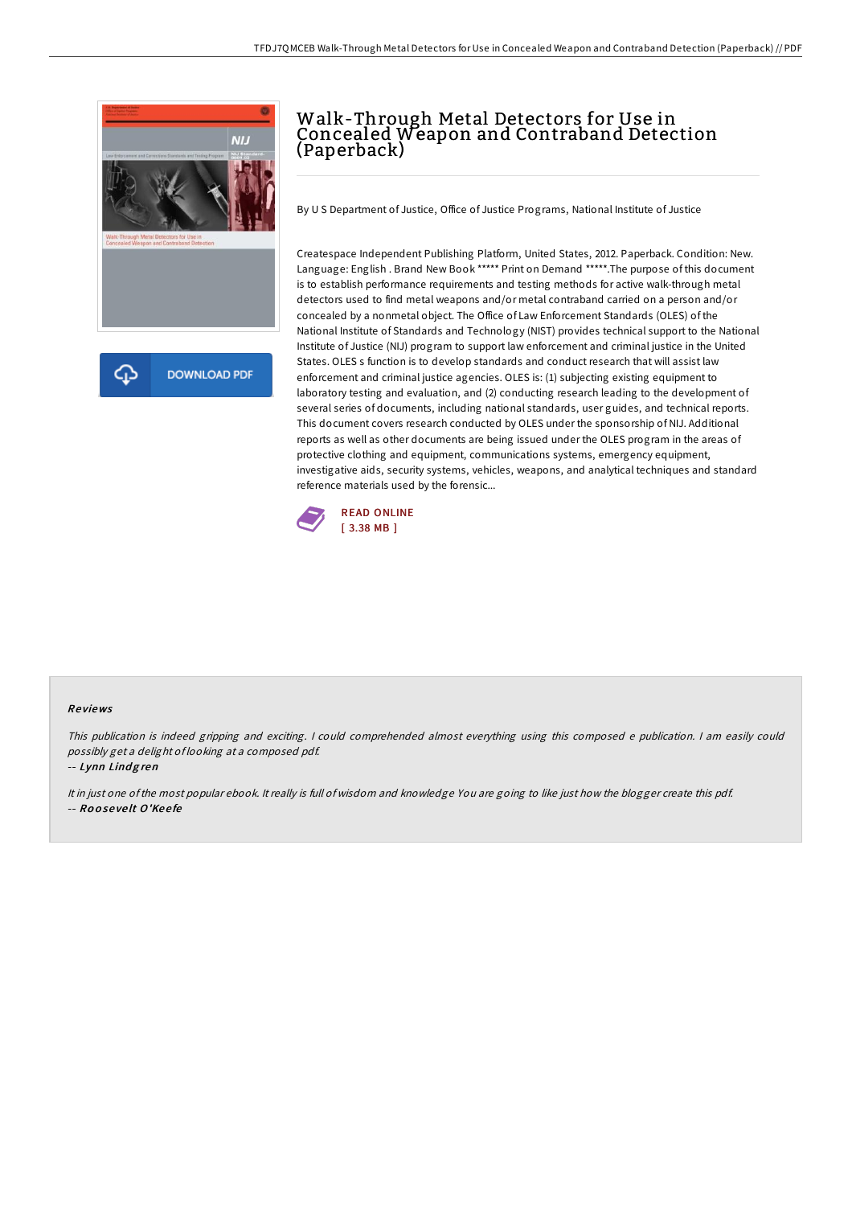

## Walk-Through Metal Detectors for Use in Concealed Weapon and Contraband Detection (Paperback)

By U S Department of Justice, Office of Justice Programs, National Institute of Justice

Createspace Independent Publishing Platform, United States, 2012. Paperback. Condition: New. Language: English . Brand New Book \*\*\*\*\* Print on Demand \*\*\*\*\*.The purpose of this document is to establish performance requirements and testing methods for active walk-through metal detectors used to find metal weapons and/or metal contraband carried on a person and/or concealed by a nonmetal object. The Office of Law Enforcement Standards (OLES) of the National Institute of Standards and Technology (NIST) provides technical support to the National Institute of Justice (NIJ) program to support law enforcement and criminal justice in the United States. OLES s function is to develop standards and conduct research that will assist law enforcement and criminal justice agencies. OLES is: (1) subjecting existing equipment to laboratory testing and evaluation, and (2) conducting research leading to the development of several series of documents, including national standards, user guides, and technical reports. This document covers research conducted by OLES under the sponsorship of NIJ. Additional reports as well as other documents are being issued under the OLES program in the areas of protective clothing and equipment, communications systems, emergency equipment, investigative aids, security systems, vehicles, weapons, and analytical techniques and standard reference materials used by the forensic...



## Re views

This publication is indeed gripping and exciting. I could comprehended almost everything using this composed <sup>e</sup> publication. I am easily could possibly get <sup>a</sup> delight of looking at <sup>a</sup> composed pdf.

-- Lynn Lindgren

It in just one ofthe most popular ebook. It really is full of wisdom and knowledge You are going to like just how the blogger create this pdf. -- Ro <sup>o</sup> se ve lt O'Ke <sup>e</sup> fe